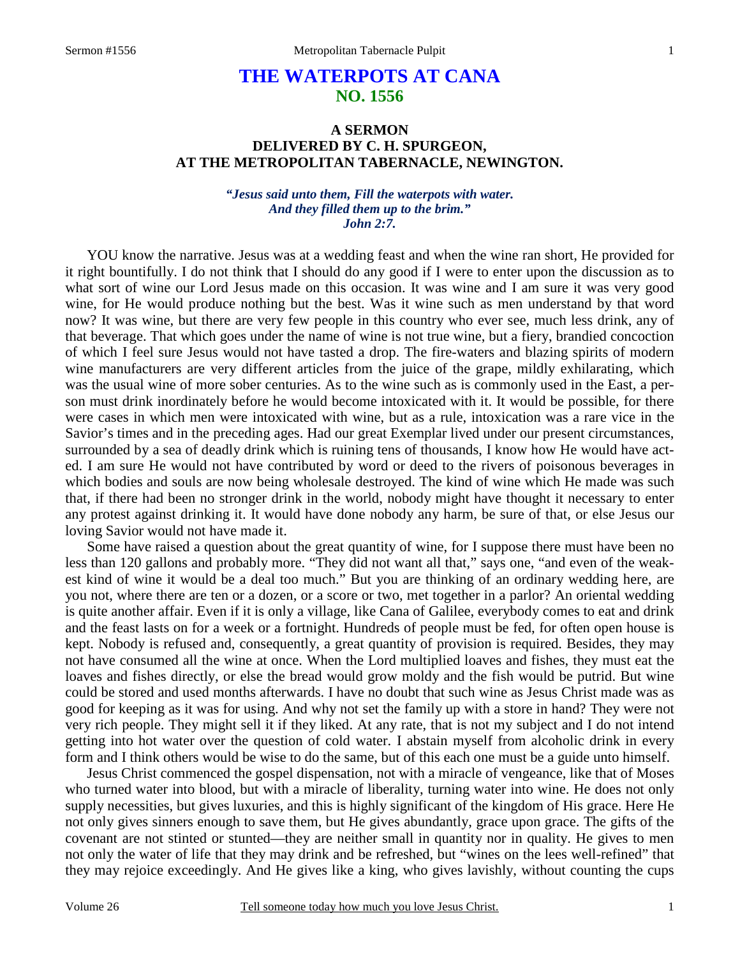## **THE WATERPOTS AT CANA NO. 1556**

## **A SERMON DELIVERED BY C. H. SPURGEON, AT THE METROPOLITAN TABERNACLE, NEWINGTON.**

*"Jesus said unto them, Fill the waterpots with water. And they filled them up to the brim." John 2:7.*

YOU know the narrative. Jesus was at a wedding feast and when the wine ran short, He provided for it right bountifully. I do not think that I should do any good if I were to enter upon the discussion as to what sort of wine our Lord Jesus made on this occasion. It was wine and I am sure it was very good wine, for He would produce nothing but the best. Was it wine such as men understand by that word now? It was wine, but there are very few people in this country who ever see, much less drink, any of that beverage. That which goes under the name of wine is not true wine, but a fiery, brandied concoction of which I feel sure Jesus would not have tasted a drop. The fire-waters and blazing spirits of modern wine manufacturers are very different articles from the juice of the grape, mildly exhilarating, which was the usual wine of more sober centuries. As to the wine such as is commonly used in the East, a person must drink inordinately before he would become intoxicated with it. It would be possible, for there were cases in which men were intoxicated with wine, but as a rule, intoxication was a rare vice in the Savior's times and in the preceding ages. Had our great Exemplar lived under our present circumstances, surrounded by a sea of deadly drink which is ruining tens of thousands, I know how He would have acted. I am sure He would not have contributed by word or deed to the rivers of poisonous beverages in which bodies and souls are now being wholesale destroyed. The kind of wine which He made was such that, if there had been no stronger drink in the world, nobody might have thought it necessary to enter any protest against drinking it. It would have done nobody any harm, be sure of that, or else Jesus our loving Savior would not have made it.

 Some have raised a question about the great quantity of wine, for I suppose there must have been no less than 120 gallons and probably more. "They did not want all that," says one, "and even of the weakest kind of wine it would be a deal too much." But you are thinking of an ordinary wedding here, are you not, where there are ten or a dozen, or a score or two, met together in a parlor? An oriental wedding is quite another affair. Even if it is only a village, like Cana of Galilee, everybody comes to eat and drink and the feast lasts on for a week or a fortnight. Hundreds of people must be fed, for often open house is kept. Nobody is refused and, consequently, a great quantity of provision is required. Besides, they may not have consumed all the wine at once. When the Lord multiplied loaves and fishes, they must eat the loaves and fishes directly, or else the bread would grow moldy and the fish would be putrid. But wine could be stored and used months afterwards. I have no doubt that such wine as Jesus Christ made was as good for keeping as it was for using. And why not set the family up with a store in hand? They were not very rich people. They might sell it if they liked. At any rate, that is not my subject and I do not intend getting into hot water over the question of cold water. I abstain myself from alcoholic drink in every form and I think others would be wise to do the same, but of this each one must be a guide unto himself.

 Jesus Christ commenced the gospel dispensation, not with a miracle of vengeance, like that of Moses who turned water into blood, but with a miracle of liberality, turning water into wine. He does not only supply necessities, but gives luxuries, and this is highly significant of the kingdom of His grace. Here He not only gives sinners enough to save them, but He gives abundantly, grace upon grace. The gifts of the covenant are not stinted or stunted—they are neither small in quantity nor in quality. He gives to men not only the water of life that they may drink and be refreshed, but "wines on the lees well-refined" that they may rejoice exceedingly. And He gives like a king, who gives lavishly, without counting the cups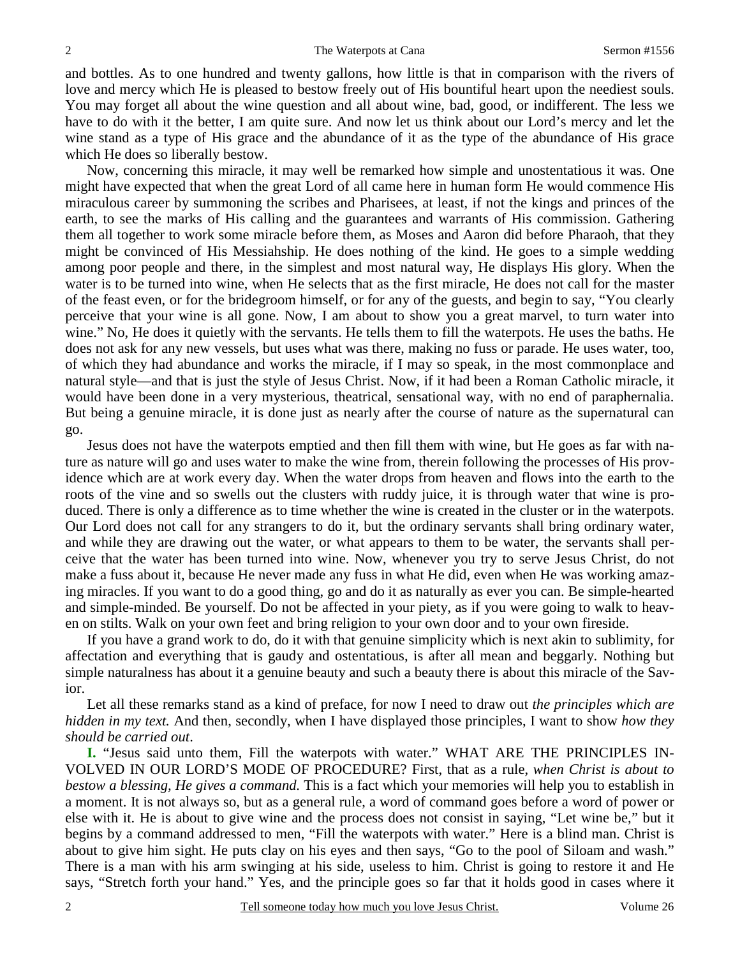and bottles. As to one hundred and twenty gallons, how little is that in comparison with the rivers of love and mercy which He is pleased to bestow freely out of His bountiful heart upon the neediest souls. You may forget all about the wine question and all about wine, bad, good, or indifferent. The less we have to do with it the better, I am quite sure. And now let us think about our Lord's mercy and let the wine stand as a type of His grace and the abundance of it as the type of the abundance of His grace which He does so liberally bestow.

 Now, concerning this miracle, it may well be remarked how simple and unostentatious it was. One might have expected that when the great Lord of all came here in human form He would commence His miraculous career by summoning the scribes and Pharisees, at least, if not the kings and princes of the earth, to see the marks of His calling and the guarantees and warrants of His commission. Gathering them all together to work some miracle before them, as Moses and Aaron did before Pharaoh, that they might be convinced of His Messiahship. He does nothing of the kind. He goes to a simple wedding among poor people and there, in the simplest and most natural way, He displays His glory. When the water is to be turned into wine, when He selects that as the first miracle, He does not call for the master of the feast even, or for the bridegroom himself, or for any of the guests, and begin to say, "You clearly perceive that your wine is all gone. Now, I am about to show you a great marvel, to turn water into wine." No, He does it quietly with the servants. He tells them to fill the waterpots. He uses the baths. He does not ask for any new vessels, but uses what was there, making no fuss or parade. He uses water, too, of which they had abundance and works the miracle, if I may so speak, in the most commonplace and natural style—and that is just the style of Jesus Christ. Now, if it had been a Roman Catholic miracle, it would have been done in a very mysterious, theatrical, sensational way, with no end of paraphernalia. But being a genuine miracle, it is done just as nearly after the course of nature as the supernatural can go.

 Jesus does not have the waterpots emptied and then fill them with wine, but He goes as far with nature as nature will go and uses water to make the wine from, therein following the processes of His providence which are at work every day. When the water drops from heaven and flows into the earth to the roots of the vine and so swells out the clusters with ruddy juice, it is through water that wine is produced. There is only a difference as to time whether the wine is created in the cluster or in the waterpots. Our Lord does not call for any strangers to do it, but the ordinary servants shall bring ordinary water, and while they are drawing out the water, or what appears to them to be water, the servants shall perceive that the water has been turned into wine. Now, whenever you try to serve Jesus Christ, do not make a fuss about it, because He never made any fuss in what He did, even when He was working amazing miracles. If you want to do a good thing, go and do it as naturally as ever you can. Be simple-hearted and simple-minded. Be yourself. Do not be affected in your piety, as if you were going to walk to heaven on stilts. Walk on your own feet and bring religion to your own door and to your own fireside.

 If you have a grand work to do, do it with that genuine simplicity which is next akin to sublimity, for affectation and everything that is gaudy and ostentatious, is after all mean and beggarly. Nothing but simple naturalness has about it a genuine beauty and such a beauty there is about this miracle of the Savior.

 Let all these remarks stand as a kind of preface, for now I need to draw out *the principles which are hidden in my text.* And then, secondly, when I have displayed those principles, I want to show *how they should be carried out*.

**I.** "Jesus said unto them, Fill the waterpots with water." WHAT ARE THE PRINCIPLES IN-VOLVED IN OUR LORD'S MODE OF PROCEDURE? First, that as a rule, *when Christ is about to bestow a blessing, He gives a command.* This is a fact which your memories will help you to establish in a moment. It is not always so, but as a general rule, a word of command goes before a word of power or else with it. He is about to give wine and the process does not consist in saying, "Let wine be," but it begins by a command addressed to men, "Fill the waterpots with water." Here is a blind man. Christ is about to give him sight. He puts clay on his eyes and then says, "Go to the pool of Siloam and wash." There is a man with his arm swinging at his side, useless to him. Christ is going to restore it and He says, "Stretch forth your hand." Yes, and the principle goes so far that it holds good in cases where it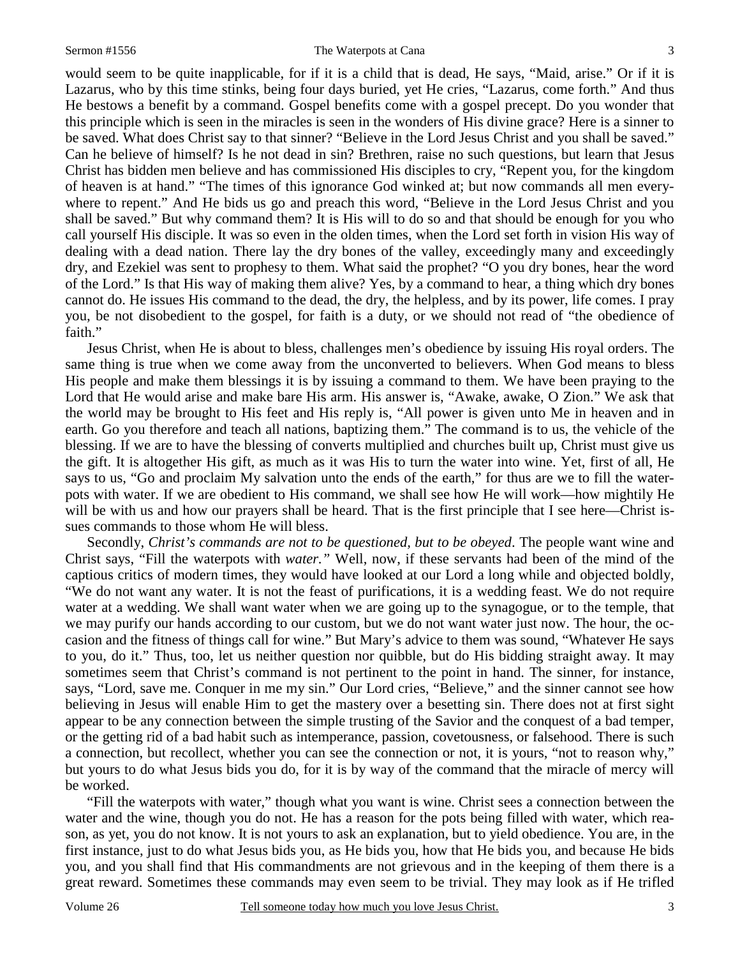## Sermon #1556 The Waterpots at Cana 3

would seem to be quite inapplicable, for if it is a child that is dead, He says, "Maid, arise." Or if it is Lazarus, who by this time stinks, being four days buried, yet He cries, "Lazarus, come forth." And thus He bestows a benefit by a command. Gospel benefits come with a gospel precept. Do you wonder that this principle which is seen in the miracles is seen in the wonders of His divine grace? Here is a sinner to be saved. What does Christ say to that sinner? "Believe in the Lord Jesus Christ and you shall be saved." Can he believe of himself? Is he not dead in sin? Brethren, raise no such questions, but learn that Jesus Christ has bidden men believe and has commissioned His disciples to cry, "Repent you, for the kingdom of heaven is at hand." "The times of this ignorance God winked at; but now commands all men everywhere to repent." And He bids us go and preach this word, "Believe in the Lord Jesus Christ and you shall be saved." But why command them? It is His will to do so and that should be enough for you who call yourself His disciple. It was so even in the olden times, when the Lord set forth in vision His way of dealing with a dead nation. There lay the dry bones of the valley, exceedingly many and exceedingly dry, and Ezekiel was sent to prophesy to them. What said the prophet? "O you dry bones, hear the word of the Lord." Is that His way of making them alive? Yes, by a command to hear, a thing which dry bones cannot do. He issues His command to the dead, the dry, the helpless, and by its power, life comes. I pray you, be not disobedient to the gospel, for faith is a duty, or we should not read of "the obedience of faith."

Jesus Christ, when He is about to bless, challenges men's obedience by issuing His royal orders. The same thing is true when we come away from the unconverted to believers. When God means to bless His people and make them blessings it is by issuing a command to them. We have been praying to the Lord that He would arise and make bare His arm. His answer is, "Awake, awake, O Zion." We ask that the world may be brought to His feet and His reply is, "All power is given unto Me in heaven and in earth. Go you therefore and teach all nations, baptizing them." The command is to us, the vehicle of the blessing. If we are to have the blessing of converts multiplied and churches built up, Christ must give us the gift. It is altogether His gift, as much as it was His to turn the water into wine. Yet, first of all, He says to us, "Go and proclaim My salvation unto the ends of the earth," for thus are we to fill the waterpots with water. If we are obedient to His command, we shall see how He will work—how mightily He will be with us and how our prayers shall be heard. That is the first principle that I see here—Christ issues commands to those whom He will bless.

 Secondly, *Christ's commands are not to be questioned, but to be obeyed*. The people want wine and Christ says, "Fill the waterpots with *water."* Well, now, if these servants had been of the mind of the captious critics of modern times, they would have looked at our Lord a long while and objected boldly, "We do not want any water. It is not the feast of purifications, it is a wedding feast. We do not require water at a wedding. We shall want water when we are going up to the synagogue, or to the temple, that we may purify our hands according to our custom, but we do not want water just now. The hour, the occasion and the fitness of things call for wine." But Mary's advice to them was sound, "Whatever He says to you, do it." Thus, too, let us neither question nor quibble, but do His bidding straight away. It may sometimes seem that Christ's command is not pertinent to the point in hand. The sinner, for instance, says, "Lord, save me. Conquer in me my sin." Our Lord cries, "Believe," and the sinner cannot see how believing in Jesus will enable Him to get the mastery over a besetting sin. There does not at first sight appear to be any connection between the simple trusting of the Savior and the conquest of a bad temper, or the getting rid of a bad habit such as intemperance, passion, covetousness, or falsehood. There is such a connection, but recollect, whether you can see the connection or not, it is yours, "not to reason why," but yours to do what Jesus bids you do, for it is by way of the command that the miracle of mercy will be worked.

 "Fill the waterpots with water," though what you want is wine. Christ sees a connection between the water and the wine, though you do not. He has a reason for the pots being filled with water, which reason, as yet, you do not know. It is not yours to ask an explanation, but to yield obedience. You are, in the first instance, just to do what Jesus bids you, as He bids you, how that He bids you, and because He bids you, and you shall find that His commandments are not grievous and in the keeping of them there is a great reward. Sometimes these commands may even seem to be trivial. They may look as if He trifled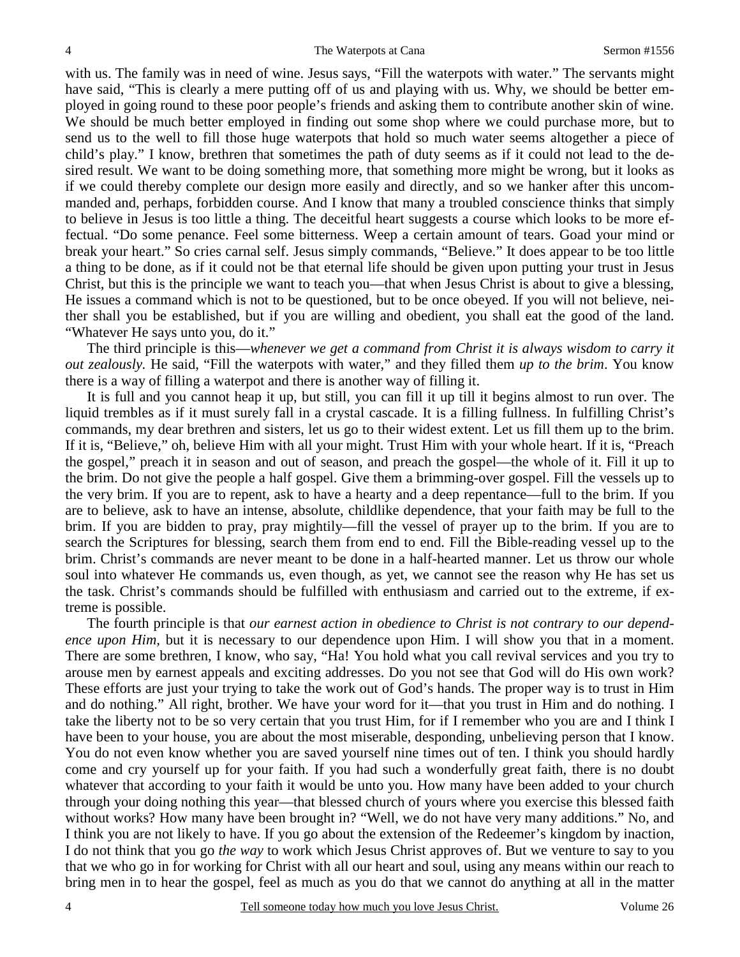with us. The family was in need of wine. Jesus says, "Fill the waterpots with water." The servants might have said, "This is clearly a mere putting off of us and playing with us. Why, we should be better employed in going round to these poor people's friends and asking them to contribute another skin of wine. We should be much better employed in finding out some shop where we could purchase more, but to send us to the well to fill those huge waterpots that hold so much water seems altogether a piece of child's play." I know, brethren that sometimes the path of duty seems as if it could not lead to the desired result. We want to be doing something more, that something more might be wrong, but it looks as if we could thereby complete our design more easily and directly, and so we hanker after this uncommanded and, perhaps, forbidden course. And I know that many a troubled conscience thinks that simply to believe in Jesus is too little a thing. The deceitful heart suggests a course which looks to be more effectual. "Do some penance. Feel some bitterness. Weep a certain amount of tears. Goad your mind or break your heart." So cries carnal self. Jesus simply commands, "Believe." It does appear to be too little a thing to be done, as if it could not be that eternal life should be given upon putting your trust in Jesus Christ, but this is the principle we want to teach you—that when Jesus Christ is about to give a blessing, He issues a command which is not to be questioned, but to be once obeyed. If you will not believe, neither shall you be established, but if you are willing and obedient, you shall eat the good of the land. "Whatever He says unto you, do it."

 The third principle is this—*whenever we get a command from Christ it is always wisdom to carry it out zealously.* He said, "Fill the waterpots with water," and they filled them *up to the brim*. You know there is a way of filling a waterpot and there is another way of filling it.

 It is full and you cannot heap it up, but still, you can fill it up till it begins almost to run over. The liquid trembles as if it must surely fall in a crystal cascade. It is a filling fullness. In fulfilling Christ's commands, my dear brethren and sisters, let us go to their widest extent. Let us fill them up to the brim. If it is, "Believe," oh, believe Him with all your might. Trust Him with your whole heart. If it is, "Preach the gospel," preach it in season and out of season, and preach the gospel—the whole of it. Fill it up to the brim. Do not give the people a half gospel. Give them a brimming-over gospel. Fill the vessels up to the very brim. If you are to repent, ask to have a hearty and a deep repentance—full to the brim. If you are to believe, ask to have an intense, absolute, childlike dependence, that your faith may be full to the brim. If you are bidden to pray, pray mightily—fill the vessel of prayer up to the brim. If you are to search the Scriptures for blessing, search them from end to end. Fill the Bible-reading vessel up to the brim. Christ's commands are never meant to be done in a half-hearted manner. Let us throw our whole soul into whatever He commands us, even though, as yet, we cannot see the reason why He has set us the task. Christ's commands should be fulfilled with enthusiasm and carried out to the extreme, if extreme is possible.

 The fourth principle is that *our earnest action in obedience to Christ is not contrary to our dependence upon Him,* but it is necessary to our dependence upon Him. I will show you that in a moment. There are some brethren, I know, who say, "Ha! You hold what you call revival services and you try to arouse men by earnest appeals and exciting addresses. Do you not see that God will do His own work? These efforts are just your trying to take the work out of God's hands. The proper way is to trust in Him and do nothing." All right, brother. We have your word for it—that you trust in Him and do nothing. I take the liberty not to be so very certain that you trust Him, for if I remember who you are and I think I have been to your house, you are about the most miserable, desponding, unbelieving person that I know. You do not even know whether you are saved yourself nine times out of ten. I think you should hardly come and cry yourself up for your faith. If you had such a wonderfully great faith, there is no doubt whatever that according to your faith it would be unto you. How many have been added to your church through your doing nothing this year—that blessed church of yours where you exercise this blessed faith without works? How many have been brought in? "Well, we do not have very many additions." No, and I think you are not likely to have. If you go about the extension of the Redeemer's kingdom by inaction, I do not think that you go *the way* to work which Jesus Christ approves of. But we venture to say to you that we who go in for working for Christ with all our heart and soul, using any means within our reach to bring men in to hear the gospel, feel as much as you do that we cannot do anything at all in the matter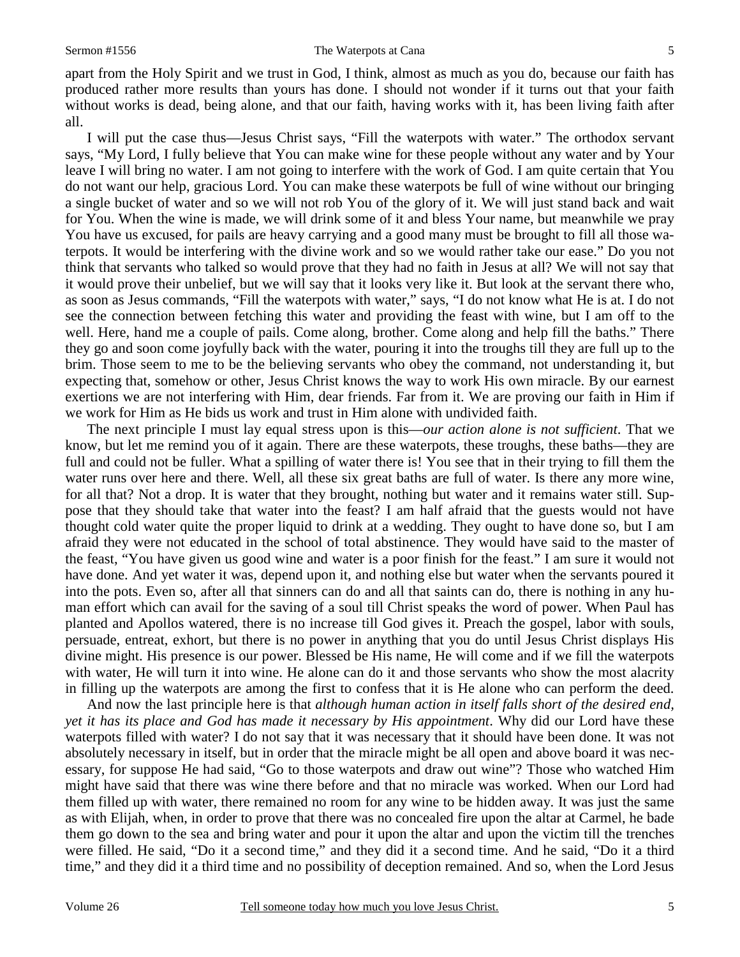apart from the Holy Spirit and we trust in God, I think, almost as much as you do, because our faith has produced rather more results than yours has done. I should not wonder if it turns out that your faith without works is dead, being alone, and that our faith, having works with it, has been living faith after all.

 I will put the case thus—Jesus Christ says, "Fill the waterpots with water." The orthodox servant says, "My Lord, I fully believe that You can make wine for these people without any water and by Your leave I will bring no water. I am not going to interfere with the work of God. I am quite certain that You do not want our help, gracious Lord. You can make these waterpots be full of wine without our bringing a single bucket of water and so we will not rob You of the glory of it. We will just stand back and wait for You. When the wine is made, we will drink some of it and bless Your name, but meanwhile we pray You have us excused, for pails are heavy carrying and a good many must be brought to fill all those waterpots. It would be interfering with the divine work and so we would rather take our ease." Do you not think that servants who talked so would prove that they had no faith in Jesus at all? We will not say that it would prove their unbelief, but we will say that it looks very like it. But look at the servant there who, as soon as Jesus commands, "Fill the waterpots with water," says, "I do not know what He is at. I do not see the connection between fetching this water and providing the feast with wine, but I am off to the well. Here, hand me a couple of pails. Come along, brother. Come along and help fill the baths." There they go and soon come joyfully back with the water, pouring it into the troughs till they are full up to the brim. Those seem to me to be the believing servants who obey the command, not understanding it, but expecting that, somehow or other, Jesus Christ knows the way to work His own miracle. By our earnest exertions we are not interfering with Him, dear friends. Far from it. We are proving our faith in Him if we work for Him as He bids us work and trust in Him alone with undivided faith.

 The next principle I must lay equal stress upon is this—*our action alone is not sufficient*. That we know, but let me remind you of it again. There are these waterpots, these troughs, these baths—they are full and could not be fuller. What a spilling of water there is! You see that in their trying to fill them the water runs over here and there. Well, all these six great baths are full of water. Is there any more wine, for all that? Not a drop. It is water that they brought, nothing but water and it remains water still. Suppose that they should take that water into the feast? I am half afraid that the guests would not have thought cold water quite the proper liquid to drink at a wedding. They ought to have done so, but I am afraid they were not educated in the school of total abstinence. They would have said to the master of the feast, "You have given us good wine and water is a poor finish for the feast." I am sure it would not have done. And yet water it was, depend upon it, and nothing else but water when the servants poured it into the pots. Even so, after all that sinners can do and all that saints can do, there is nothing in any human effort which can avail for the saving of a soul till Christ speaks the word of power. When Paul has planted and Apollos watered, there is no increase till God gives it. Preach the gospel, labor with souls, persuade, entreat, exhort, but there is no power in anything that you do until Jesus Christ displays His divine might. His presence is our power. Blessed be His name, He will come and if we fill the waterpots with water, He will turn it into wine. He alone can do it and those servants who show the most alacrity in filling up the waterpots are among the first to confess that it is He alone who can perform the deed.

 And now the last principle here is that *although human action in itself falls short of the desired end, yet it has its place and God has made it necessary by His appointment*. Why did our Lord have these waterpots filled with water? I do not say that it was necessary that it should have been done. It was not absolutely necessary in itself, but in order that the miracle might be all open and above board it was necessary, for suppose He had said, "Go to those waterpots and draw out wine"? Those who watched Him might have said that there was wine there before and that no miracle was worked. When our Lord had them filled up with water, there remained no room for any wine to be hidden away. It was just the same as with Elijah, when, in order to prove that there was no concealed fire upon the altar at Carmel, he bade them go down to the sea and bring water and pour it upon the altar and upon the victim till the trenches were filled. He said, "Do it a second time," and they did it a second time. And he said, "Do it a third time," and they did it a third time and no possibility of deception remained. And so, when the Lord Jesus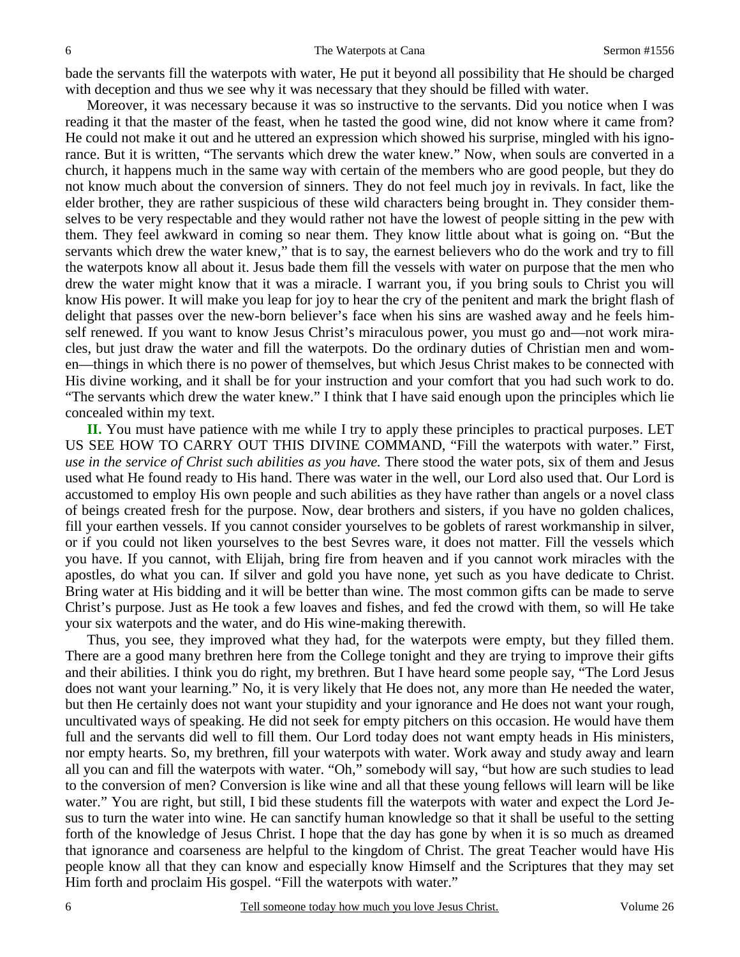bade the servants fill the waterpots with water, He put it beyond all possibility that He should be charged with deception and thus we see why it was necessary that they should be filled with water.

 Moreover, it was necessary because it was so instructive to the servants. Did you notice when I was reading it that the master of the feast, when he tasted the good wine, did not know where it came from? He could not make it out and he uttered an expression which showed his surprise, mingled with his ignorance. But it is written, "The servants which drew the water knew." Now, when souls are converted in a church, it happens much in the same way with certain of the members who are good people, but they do not know much about the conversion of sinners. They do not feel much joy in revivals. In fact, like the elder brother, they are rather suspicious of these wild characters being brought in. They consider themselves to be very respectable and they would rather not have the lowest of people sitting in the pew with them. They feel awkward in coming so near them. They know little about what is going on. "But the servants which drew the water knew," that is to say, the earnest believers who do the work and try to fill the waterpots know all about it. Jesus bade them fill the vessels with water on purpose that the men who drew the water might know that it was a miracle. I warrant you, if you bring souls to Christ you will know His power. It will make you leap for joy to hear the cry of the penitent and mark the bright flash of delight that passes over the new-born believer's face when his sins are washed away and he feels himself renewed. If you want to know Jesus Christ's miraculous power, you must go and—not work miracles, but just draw the water and fill the waterpots. Do the ordinary duties of Christian men and women—things in which there is no power of themselves, but which Jesus Christ makes to be connected with His divine working, and it shall be for your instruction and your comfort that you had such work to do. "The servants which drew the water knew." I think that I have said enough upon the principles which lie concealed within my text.

**II.** You must have patience with me while I try to apply these principles to practical purposes. LET US SEE HOW TO CARRY OUT THIS DIVINE COMMAND, "Fill the waterpots with water." First, *use in the service of Christ such abilities as you have.* There stood the water pots, six of them and Jesus used what He found ready to His hand. There was water in the well, our Lord also used that. Our Lord is accustomed to employ His own people and such abilities as they have rather than angels or a novel class of beings created fresh for the purpose. Now, dear brothers and sisters, if you have no golden chalices, fill your earthen vessels. If you cannot consider yourselves to be goblets of rarest workmanship in silver, or if you could not liken yourselves to the best Sevres ware, it does not matter. Fill the vessels which you have. If you cannot, with Elijah, bring fire from heaven and if you cannot work miracles with the apostles, do what you can. If silver and gold you have none, yet such as you have dedicate to Christ. Bring water at His bidding and it will be better than wine. The most common gifts can be made to serve Christ's purpose. Just as He took a few loaves and fishes, and fed the crowd with them, so will He take your six waterpots and the water, and do His wine-making therewith.

 Thus, you see, they improved what they had, for the waterpots were empty, but they filled them. There are a good many brethren here from the College tonight and they are trying to improve their gifts and their abilities. I think you do right, my brethren. But I have heard some people say, "The Lord Jesus does not want your learning." No, it is very likely that He does not, any more than He needed the water, but then He certainly does not want your stupidity and your ignorance and He does not want your rough, uncultivated ways of speaking. He did not seek for empty pitchers on this occasion. He would have them full and the servants did well to fill them. Our Lord today does not want empty heads in His ministers, nor empty hearts. So, my brethren, fill your waterpots with water. Work away and study away and learn all you can and fill the waterpots with water. "Oh," somebody will say, "but how are such studies to lead to the conversion of men? Conversion is like wine and all that these young fellows will learn will be like water." You are right, but still, I bid these students fill the waterpots with water and expect the Lord Jesus to turn the water into wine. He can sanctify human knowledge so that it shall be useful to the setting forth of the knowledge of Jesus Christ. I hope that the day has gone by when it is so much as dreamed that ignorance and coarseness are helpful to the kingdom of Christ. The great Teacher would have His people know all that they can know and especially know Himself and the Scriptures that they may set Him forth and proclaim His gospel. "Fill the waterpots with water."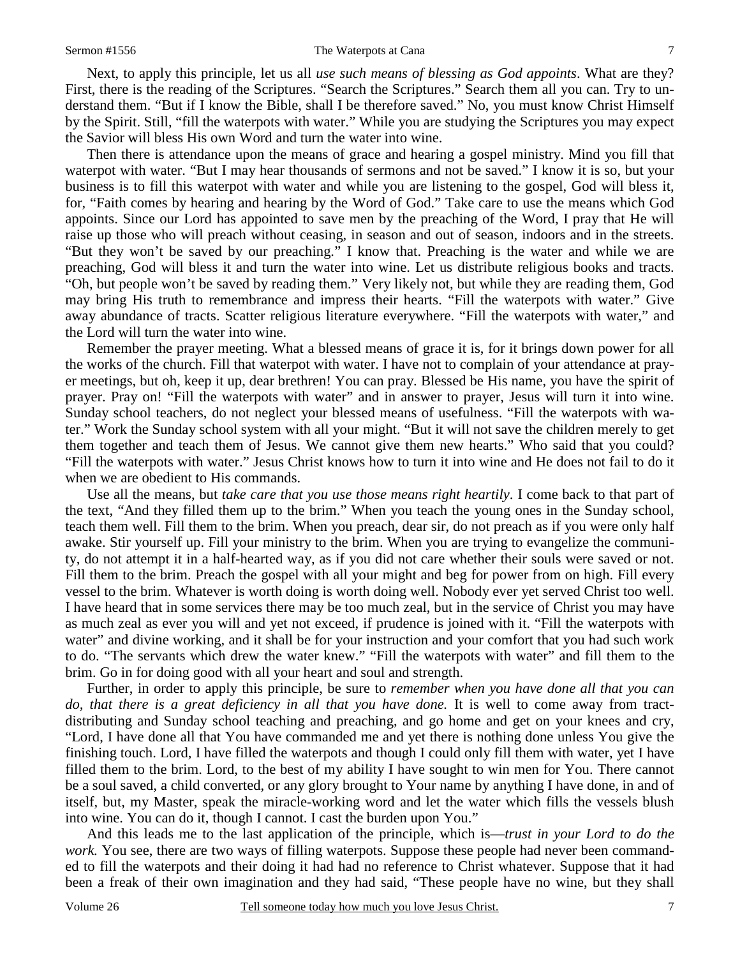Next, to apply this principle, let us all *use such means of blessing as God appoints*. What are they? First, there is the reading of the Scriptures. "Search the Scriptures." Search them all you can. Try to understand them. "But if I know the Bible, shall I be therefore saved." No, you must know Christ Himself by the Spirit. Still, "fill the waterpots with water." While you are studying the Scriptures you may expect the Savior will bless His own Word and turn the water into wine.

 Then there is attendance upon the means of grace and hearing a gospel ministry. Mind you fill that waterpot with water. "But I may hear thousands of sermons and not be saved." I know it is so, but your business is to fill this waterpot with water and while you are listening to the gospel, God will bless it, for, "Faith comes by hearing and hearing by the Word of God." Take care to use the means which God appoints. Since our Lord has appointed to save men by the preaching of the Word, I pray that He will raise up those who will preach without ceasing, in season and out of season, indoors and in the streets. "But they won't be saved by our preaching." I know that. Preaching is the water and while we are preaching, God will bless it and turn the water into wine. Let us distribute religious books and tracts. "Oh, but people won't be saved by reading them." Very likely not, but while they are reading them, God may bring His truth to remembrance and impress their hearts. "Fill the waterpots with water." Give away abundance of tracts. Scatter religious literature everywhere. "Fill the waterpots with water," and the Lord will turn the water into wine.

 Remember the prayer meeting. What a blessed means of grace it is, for it brings down power for all the works of the church. Fill that waterpot with water. I have not to complain of your attendance at prayer meetings, but oh, keep it up, dear brethren! You can pray. Blessed be His name, you have the spirit of prayer. Pray on! "Fill the waterpots with water" and in answer to prayer, Jesus will turn it into wine. Sunday school teachers, do not neglect your blessed means of usefulness. "Fill the waterpots with water." Work the Sunday school system with all your might. "But it will not save the children merely to get them together and teach them of Jesus. We cannot give them new hearts." Who said that you could? "Fill the waterpots with water." Jesus Christ knows how to turn it into wine and He does not fail to do it when we are obedient to His commands.

 Use all the means, but *take care that you use those means right heartily*. I come back to that part of the text, "And they filled them up to the brim." When you teach the young ones in the Sunday school, teach them well. Fill them to the brim. When you preach, dear sir, do not preach as if you were only half awake. Stir yourself up. Fill your ministry to the brim. When you are trying to evangelize the community, do not attempt it in a half-hearted way, as if you did not care whether their souls were saved or not. Fill them to the brim. Preach the gospel with all your might and beg for power from on high. Fill every vessel to the brim. Whatever is worth doing is worth doing well. Nobody ever yet served Christ too well. I have heard that in some services there may be too much zeal, but in the service of Christ you may have as much zeal as ever you will and yet not exceed, if prudence is joined with it. "Fill the waterpots with water" and divine working, and it shall be for your instruction and your comfort that you had such work to do. "The servants which drew the water knew." "Fill the waterpots with water" and fill them to the brim. Go in for doing good with all your heart and soul and strength.

 Further, in order to apply this principle, be sure to *remember when you have done all that you can do, that there is a great deficiency in all that you have done.* It is well to come away from tractdistributing and Sunday school teaching and preaching, and go home and get on your knees and cry, "Lord, I have done all that You have commanded me and yet there is nothing done unless You give the finishing touch. Lord, I have filled the waterpots and though I could only fill them with water, yet I have filled them to the brim. Lord, to the best of my ability I have sought to win men for You. There cannot be a soul saved, a child converted, or any glory brought to Your name by anything I have done, in and of itself, but, my Master, speak the miracle-working word and let the water which fills the vessels blush into wine. You can do it, though I cannot. I cast the burden upon You."

 And this leads me to the last application of the principle, which is—*trust in your Lord to do the work.* You see, there are two ways of filling waterpots. Suppose these people had never been commanded to fill the waterpots and their doing it had had no reference to Christ whatever. Suppose that it had been a freak of their own imagination and they had said, "These people have no wine, but they shall